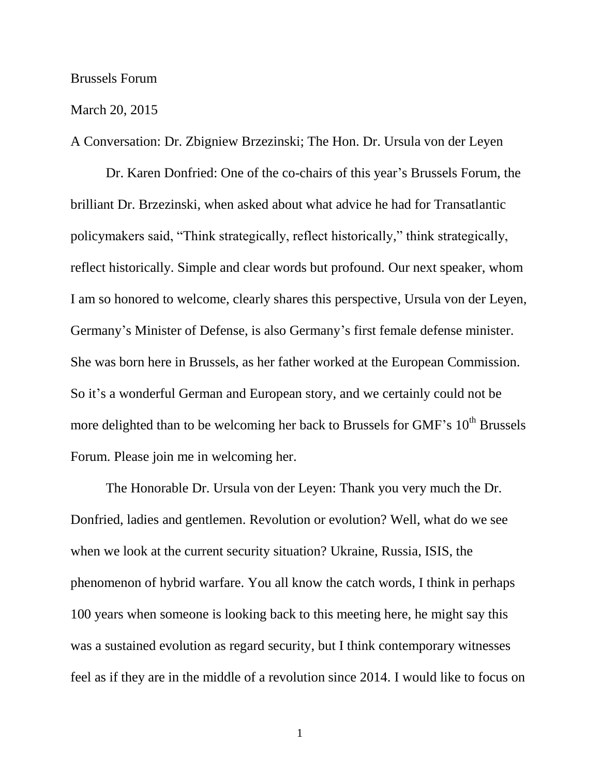## Brussels Forum

## March 20, 2015

A Conversation: Dr. Zbigniew Brzezinski; The Hon. Dr. Ursula von der Leyen

Dr. Karen Donfried: One of the co-chairs of this year's Brussels Forum, the brilliant Dr. Brzezinski, when asked about what advice he had for Transatlantic policymakers said, "Think strategically, reflect historically," think strategically, reflect historically. Simple and clear words but profound. Our next speaker, whom I am so honored to welcome, clearly shares this perspective, Ursula von der Leyen, Germany's Minister of Defense, is also Germany's first female defense minister. She was born here in Brussels, as her father worked at the European Commission. So it's a wonderful German and European story, and we certainly could not be more delighted than to be welcoming her back to Brussels for GMF's  $10<sup>th</sup>$  Brussels Forum. Please join me in welcoming her.

The Honorable Dr. Ursula von der Leyen: Thank you very much the Dr. Donfried, ladies and gentlemen. Revolution or evolution? Well, what do we see when we look at the current security situation? Ukraine, Russia, ISIS, the phenomenon of hybrid warfare. You all know the catch words, I think in perhaps 100 years when someone is looking back to this meeting here, he might say this was a sustained evolution as regard security, but I think contemporary witnesses feel as if they are in the middle of a revolution since 2014. I would like to focus on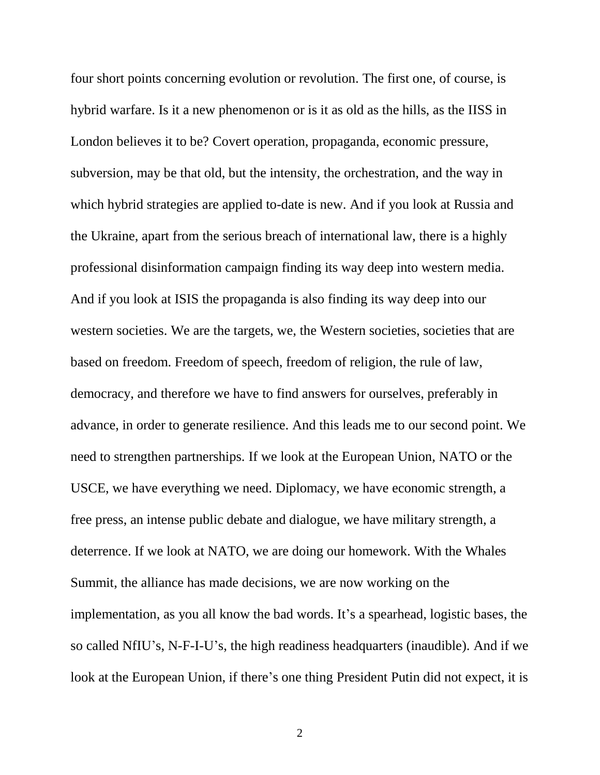four short points concerning evolution or revolution. The first one, of course, is hybrid warfare. Is it a new phenomenon or is it as old as the hills, as the IISS in London believes it to be? Covert operation, propaganda, economic pressure, subversion, may be that old, but the intensity, the orchestration, and the way in which hybrid strategies are applied to-date is new. And if you look at Russia and the Ukraine, apart from the serious breach of international law, there is a highly professional disinformation campaign finding its way deep into western media. And if you look at ISIS the propaganda is also finding its way deep into our western societies. We are the targets, we, the Western societies, societies that are based on freedom. Freedom of speech, freedom of religion, the rule of law, democracy, and therefore we have to find answers for ourselves, preferably in advance, in order to generate resilience. And this leads me to our second point. We need to strengthen partnerships. If we look at the European Union, NATO or the USCE, we have everything we need. Diplomacy, we have economic strength, a free press, an intense public debate and dialogue, we have military strength, a deterrence. If we look at NATO, we are doing our homework. With the Whales Summit, the alliance has made decisions, we are now working on the implementation, as you all know the bad words. It's a spearhead, logistic bases, the so called NfIU's, N-F-I-U's, the high readiness headquarters (inaudible). And if we look at the European Union, if there's one thing President Putin did not expect, it is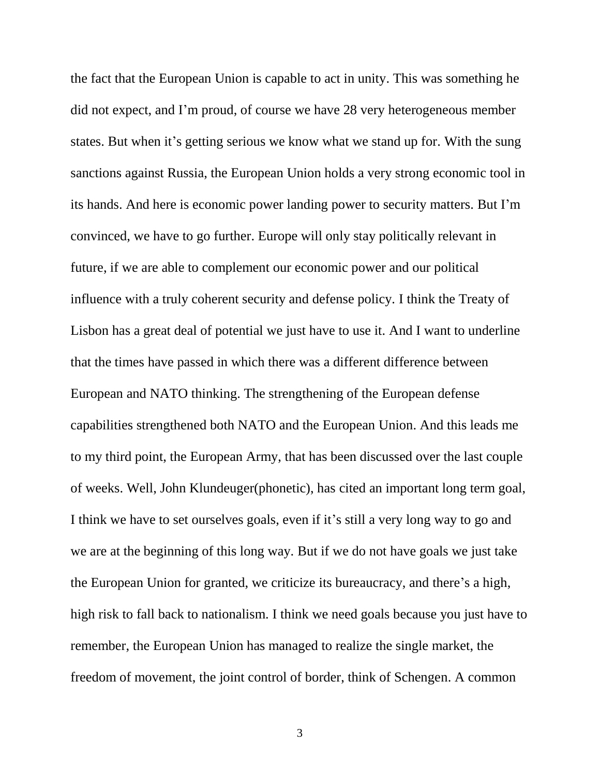the fact that the European Union is capable to act in unity. This was something he did not expect, and I'm proud, of course we have 28 very heterogeneous member states. But when it's getting serious we know what we stand up for. With the sung sanctions against Russia, the European Union holds a very strong economic tool in its hands. And here is economic power landing power to security matters. But I'm convinced, we have to go further. Europe will only stay politically relevant in future, if we are able to complement our economic power and our political influence with a truly coherent security and defense policy. I think the Treaty of Lisbon has a great deal of potential we just have to use it. And I want to underline that the times have passed in which there was a different difference between European and NATO thinking. The strengthening of the European defense capabilities strengthened both NATO and the European Union. And this leads me to my third point, the European Army, that has been discussed over the last couple of weeks. Well, John Klundeuger(phonetic), has cited an important long term goal, I think we have to set ourselves goals, even if it's still a very long way to go and we are at the beginning of this long way. But if we do not have goals we just take the European Union for granted, we criticize its bureaucracy, and there's a high, high risk to fall back to nationalism. I think we need goals because you just have to remember, the European Union has managed to realize the single market, the freedom of movement, the joint control of border, think of Schengen. A common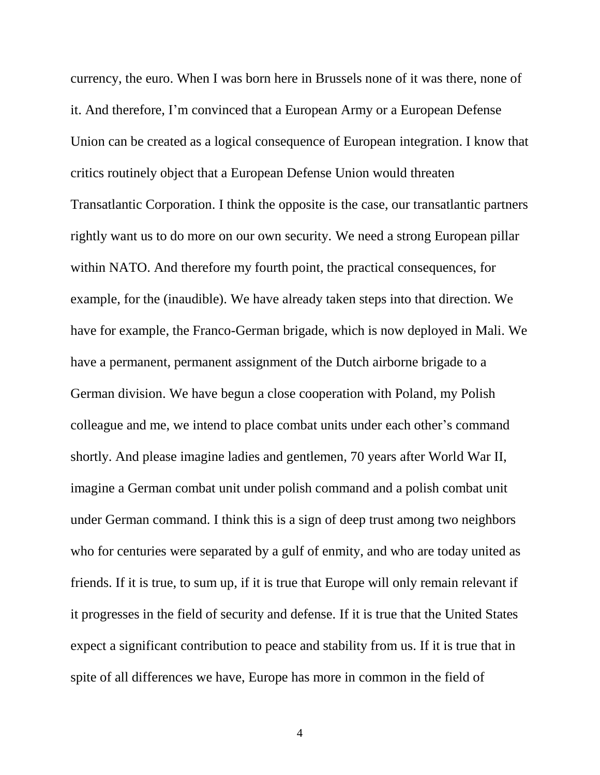currency, the euro. When I was born here in Brussels none of it was there, none of it. And therefore, I'm convinced that a European Army or a European Defense Union can be created as a logical consequence of European integration. I know that critics routinely object that a European Defense Union would threaten Transatlantic Corporation. I think the opposite is the case, our transatlantic partners rightly want us to do more on our own security. We need a strong European pillar within NATO. And therefore my fourth point, the practical consequences, for example, for the (inaudible). We have already taken steps into that direction. We have for example, the Franco-German brigade, which is now deployed in Mali. We have a permanent, permanent assignment of the Dutch airborne brigade to a German division. We have begun a close cooperation with Poland, my Polish colleague and me, we intend to place combat units under each other's command shortly. And please imagine ladies and gentlemen, 70 years after World War II, imagine a German combat unit under polish command and a polish combat unit under German command. I think this is a sign of deep trust among two neighbors who for centuries were separated by a gulf of enmity, and who are today united as friends. If it is true, to sum up, if it is true that Europe will only remain relevant if it progresses in the field of security and defense. If it is true that the United States expect a significant contribution to peace and stability from us. If it is true that in spite of all differences we have, Europe has more in common in the field of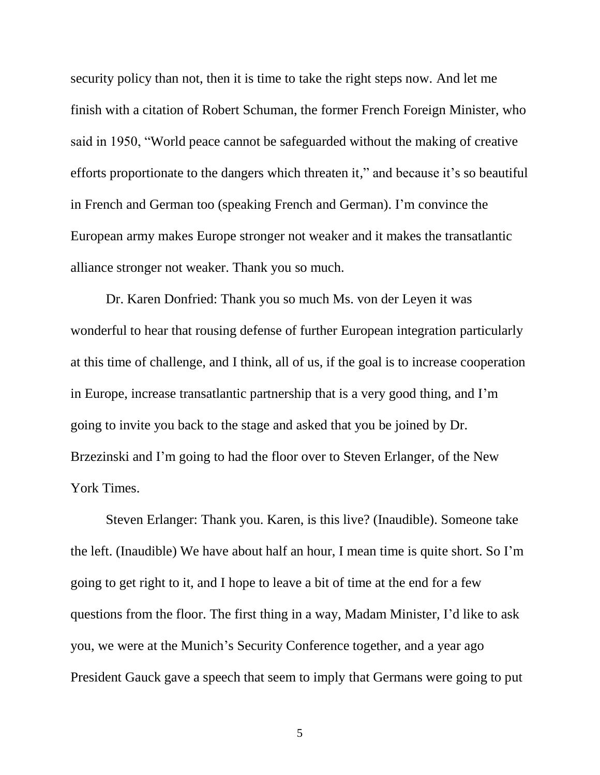security policy than not, then it is time to take the right steps now. And let me finish with a citation of Robert Schuman, the former French Foreign Minister, who said in 1950, "World peace cannot be safeguarded without the making of creative efforts proportionate to the dangers which threaten it," and because it's so beautiful in French and German too (speaking French and German). I'm convince the European army makes Europe stronger not weaker and it makes the transatlantic alliance stronger not weaker. Thank you so much.

Dr. Karen Donfried: Thank you so much Ms. von der Leyen it was wonderful to hear that rousing defense of further European integration particularly at this time of challenge, and I think, all of us, if the goal is to increase cooperation in Europe, increase transatlantic partnership that is a very good thing, and I'm going to invite you back to the stage and asked that you be joined by Dr. Brzezinski and I'm going to had the floor over to Steven Erlanger, of the New York Times.

Steven Erlanger: Thank you. Karen, is this live? (Inaudible). Someone take the left. (Inaudible) We have about half an hour, I mean time is quite short. So I'm going to get right to it, and I hope to leave a bit of time at the end for a few questions from the floor. The first thing in a way, Madam Minister, I'd like to ask you, we were at the Munich's Security Conference together, and a year ago President Gauck gave a speech that seem to imply that Germans were going to put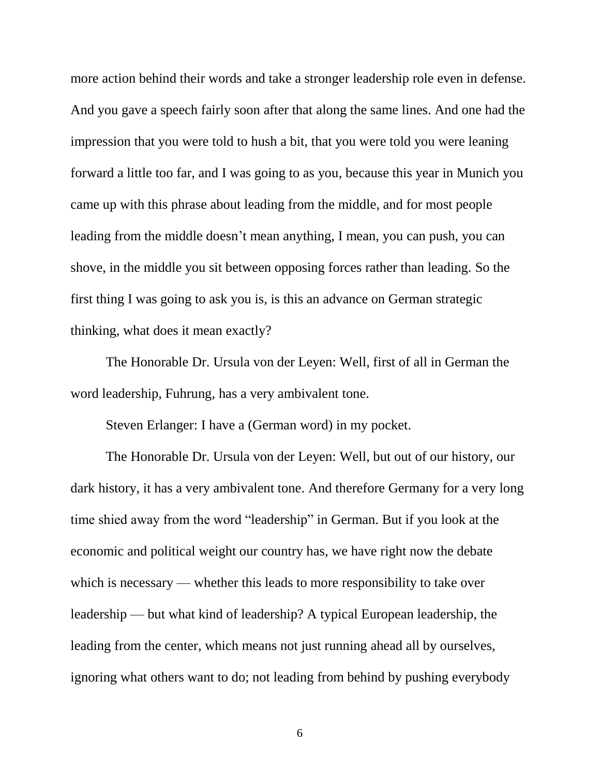more action behind their words and take a stronger leadership role even in defense. And you gave a speech fairly soon after that along the same lines. And one had the impression that you were told to hush a bit, that you were told you were leaning forward a little too far, and I was going to as you, because this year in Munich you came up with this phrase about leading from the middle, and for most people leading from the middle doesn't mean anything, I mean, you can push, you can shove, in the middle you sit between opposing forces rather than leading. So the first thing I was going to ask you is, is this an advance on German strategic thinking, what does it mean exactly?

The Honorable Dr. Ursula von der Leyen: Well, first of all in German the word leadership, Fuhrung, has a very ambivalent tone.

Steven Erlanger: I have a (German word) in my pocket.

The Honorable Dr. Ursula von der Leyen: Well, but out of our history, our dark history, it has a very ambivalent tone. And therefore Germany for a very long time shied away from the word "leadership" in German. But if you look at the economic and political weight our country has, we have right now the debate which is necessary — whether this leads to more responsibility to take over leadership — but what kind of leadership? A typical European leadership, the leading from the center, which means not just running ahead all by ourselves, ignoring what others want to do; not leading from behind by pushing everybody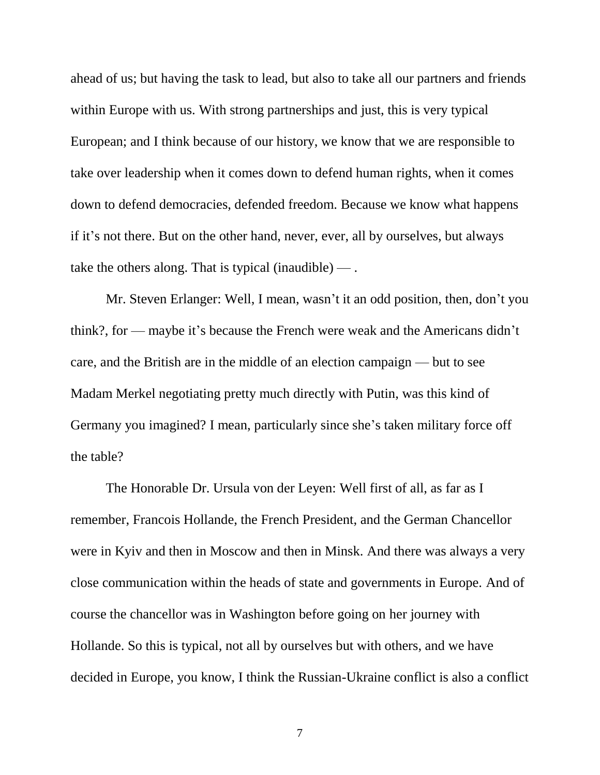ahead of us; but having the task to lead, but also to take all our partners and friends within Europe with us. With strong partnerships and just, this is very typical European; and I think because of our history, we know that we are responsible to take over leadership when it comes down to defend human rights, when it comes down to defend democracies, defended freedom. Because we know what happens if it's not there. But on the other hand, never, ever, all by ourselves, but always take the others along. That is typical (inaudible)  $-$ .

Mr. Steven Erlanger: Well, I mean, wasn't it an odd position, then, don't you think?, for — maybe it's because the French were weak and the Americans didn't care, and the British are in the middle of an election campaign — but to see Madam Merkel negotiating pretty much directly with Putin, was this kind of Germany you imagined? I mean, particularly since she's taken military force off the table?

The Honorable Dr. Ursula von der Leyen: Well first of all, as far as I remember, Francois Hollande, the French President, and the German Chancellor were in Kyiv and then in Moscow and then in Minsk. And there was always a very close communication within the heads of state and governments in Europe. And of course the chancellor was in Washington before going on her journey with Hollande. So this is typical, not all by ourselves but with others, and we have decided in Europe, you know, I think the Russian-Ukraine conflict is also a conflict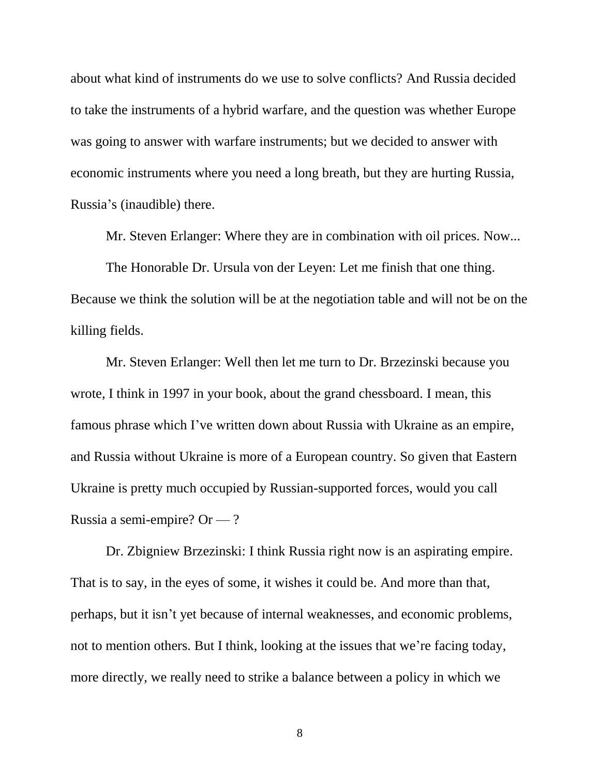about what kind of instruments do we use to solve conflicts? And Russia decided to take the instruments of a hybrid warfare, and the question was whether Europe was going to answer with warfare instruments; but we decided to answer with economic instruments where you need a long breath, but they are hurting Russia, Russia's (inaudible) there.

Mr. Steven Erlanger: Where they are in combination with oil prices. Now...

The Honorable Dr. Ursula von der Leyen: Let me finish that one thing. Because we think the solution will be at the negotiation table and will not be on the killing fields.

Mr. Steven Erlanger: Well then let me turn to Dr. Brzezinski because you wrote, I think in 1997 in your book, about the grand chessboard. I mean, this famous phrase which I've written down about Russia with Ukraine as an empire, and Russia without Ukraine is more of a European country. So given that Eastern Ukraine is pretty much occupied by Russian-supported forces, would you call Russia a semi-empire? Or — ?

Dr. Zbigniew Brzezinski: I think Russia right now is an aspirating empire. That is to say, in the eyes of some, it wishes it could be. And more than that, perhaps, but it isn't yet because of internal weaknesses, and economic problems, not to mention others. But I think, looking at the issues that we're facing today, more directly, we really need to strike a balance between a policy in which we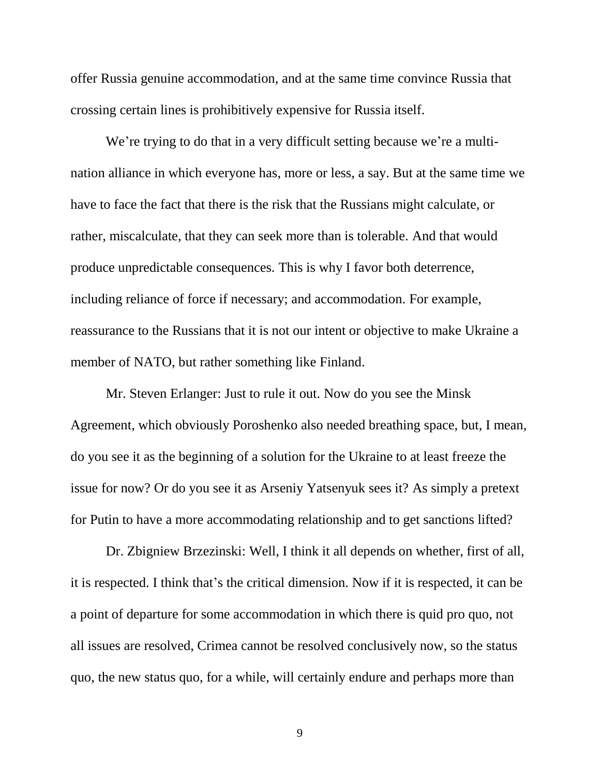offer Russia genuine accommodation, and at the same time convince Russia that crossing certain lines is prohibitively expensive for Russia itself.

We're trying to do that in a very difficult setting because we're a multination alliance in which everyone has, more or less, a say. But at the same time we have to face the fact that there is the risk that the Russians might calculate, or rather, miscalculate, that they can seek more than is tolerable. And that would produce unpredictable consequences. This is why I favor both deterrence, including reliance of force if necessary; and accommodation. For example, reassurance to the Russians that it is not our intent or objective to make Ukraine a member of NATO, but rather something like Finland.

Mr. Steven Erlanger: Just to rule it out. Now do you see the Minsk Agreement, which obviously Poroshenko also needed breathing space, but, I mean, do you see it as the beginning of a solution for the Ukraine to at least freeze the issue for now? Or do you see it as Arseniy Yatsenyuk sees it? As simply a pretext for Putin to have a more accommodating relationship and to get sanctions lifted?

Dr. Zbigniew Brzezinski: Well, I think it all depends on whether, first of all, it is respected. I think that's the critical dimension. Now if it is respected, it can be a point of departure for some accommodation in which there is quid pro quo, not all issues are resolved, Crimea cannot be resolved conclusively now, so the status quo, the new status quo, for a while, will certainly endure and perhaps more than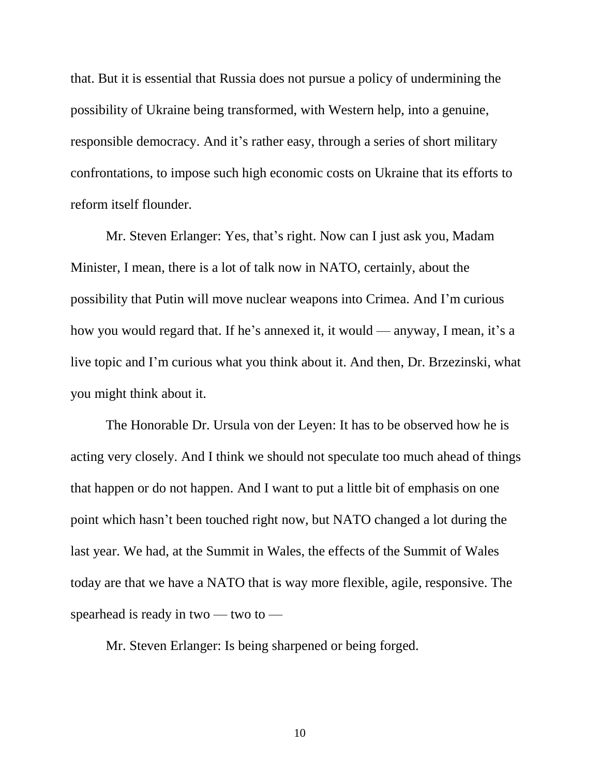that. But it is essential that Russia does not pursue a policy of undermining the possibility of Ukraine being transformed, with Western help, into a genuine, responsible democracy. And it's rather easy, through a series of short military confrontations, to impose such high economic costs on Ukraine that its efforts to reform itself flounder.

Mr. Steven Erlanger: Yes, that's right. Now can I just ask you, Madam Minister, I mean, there is a lot of talk now in NATO, certainly, about the possibility that Putin will move nuclear weapons into Crimea. And I'm curious how you would regard that. If he's annexed it, it would — anyway, I mean, it's a live topic and I'm curious what you think about it. And then, Dr. Brzezinski, what you might think about it.

The Honorable Dr. Ursula von der Leyen: It has to be observed how he is acting very closely. And I think we should not speculate too much ahead of things that happen or do not happen. And I want to put a little bit of emphasis on one point which hasn't been touched right now, but NATO changed a lot during the last year. We had, at the Summit in Wales, the effects of the Summit of Wales today are that we have a NATO that is way more flexible, agile, responsive. The spearhead is ready in two — two to —

Mr. Steven Erlanger: Is being sharpened or being forged.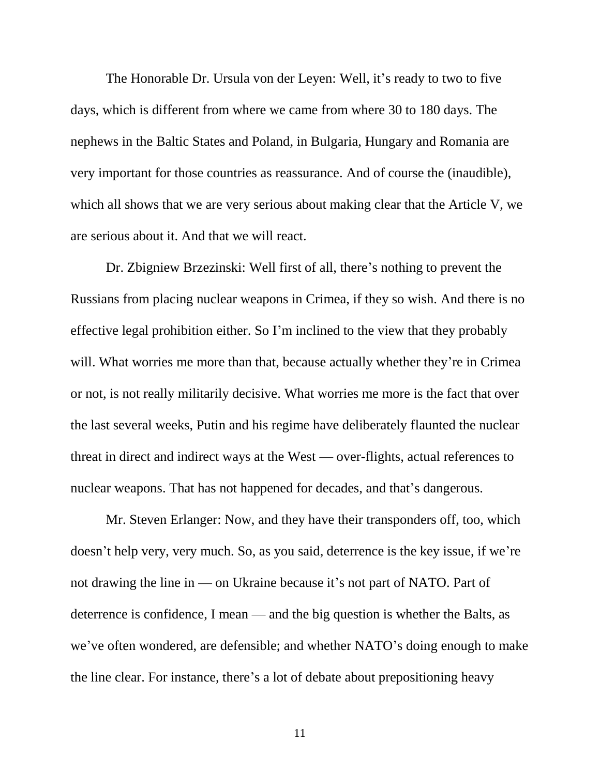The Honorable Dr. Ursula von der Leyen: Well, it's ready to two to five days, which is different from where we came from where 30 to 180 days. The nephews in the Baltic States and Poland, in Bulgaria, Hungary and Romania are very important for those countries as reassurance. And of course the (inaudible), which all shows that we are very serious about making clear that the Article V, we are serious about it. And that we will react.

Dr. Zbigniew Brzezinski: Well first of all, there's nothing to prevent the Russians from placing nuclear weapons in Crimea, if they so wish. And there is no effective legal prohibition either. So I'm inclined to the view that they probably will. What worries me more than that, because actually whether they're in Crimea or not, is not really militarily decisive. What worries me more is the fact that over the last several weeks, Putin and his regime have deliberately flaunted the nuclear threat in direct and indirect ways at the West — over-flights, actual references to nuclear weapons. That has not happened for decades, and that's dangerous.

Mr. Steven Erlanger: Now, and they have their transponders off, too, which doesn't help very, very much. So, as you said, deterrence is the key issue, if we're not drawing the line in — on Ukraine because it's not part of NATO. Part of deterrence is confidence, I mean — and the big question is whether the Balts, as we've often wondered, are defensible; and whether NATO's doing enough to make the line clear. For instance, there's a lot of debate about prepositioning heavy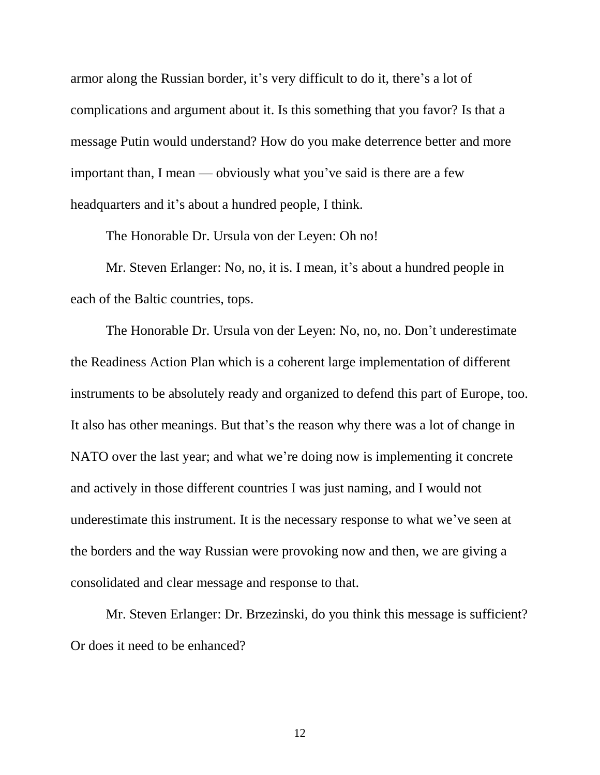armor along the Russian border, it's very difficult to do it, there's a lot of complications and argument about it. Is this something that you favor? Is that a message Putin would understand? How do you make deterrence better and more important than, I mean — obviously what you've said is there are a few headquarters and it's about a hundred people, I think.

The Honorable Dr. Ursula von der Leyen: Oh no!

Mr. Steven Erlanger: No, no, it is. I mean, it's about a hundred people in each of the Baltic countries, tops.

The Honorable Dr. Ursula von der Leyen: No, no, no. Don't underestimate the Readiness Action Plan which is a coherent large implementation of different instruments to be absolutely ready and organized to defend this part of Europe, too. It also has other meanings. But that's the reason why there was a lot of change in NATO over the last year; and what we're doing now is implementing it concrete and actively in those different countries I was just naming, and I would not underestimate this instrument. It is the necessary response to what we've seen at the borders and the way Russian were provoking now and then, we are giving a consolidated and clear message and response to that.

Mr. Steven Erlanger: Dr. Brzezinski, do you think this message is sufficient? Or does it need to be enhanced?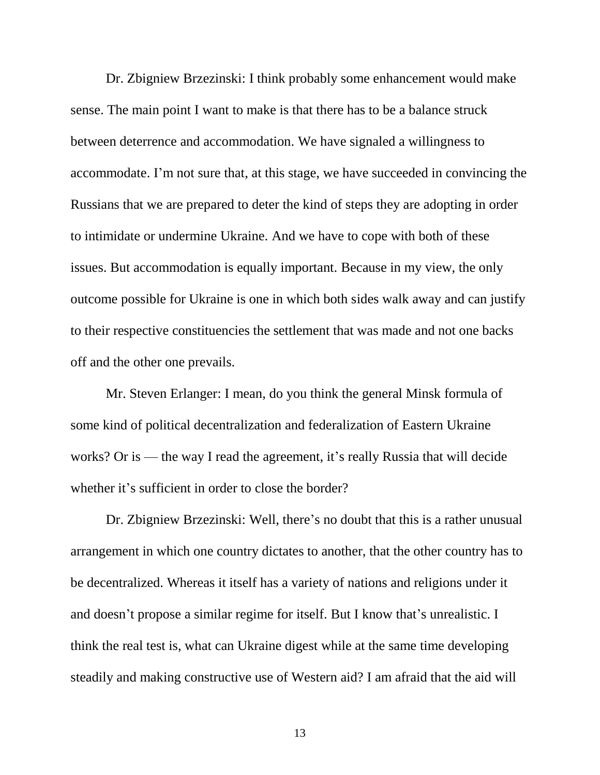Dr. Zbigniew Brzezinski: I think probably some enhancement would make sense. The main point I want to make is that there has to be a balance struck between deterrence and accommodation. We have signaled a willingness to accommodate. I'm not sure that, at this stage, we have succeeded in convincing the Russians that we are prepared to deter the kind of steps they are adopting in order to intimidate or undermine Ukraine. And we have to cope with both of these issues. But accommodation is equally important. Because in my view, the only outcome possible for Ukraine is one in which both sides walk away and can justify to their respective constituencies the settlement that was made and not one backs off and the other one prevails.

Mr. Steven Erlanger: I mean, do you think the general Minsk formula of some kind of political decentralization and federalization of Eastern Ukraine works? Or is — the way I read the agreement, it's really Russia that will decide whether it's sufficient in order to close the border?

Dr. Zbigniew Brzezinski: Well, there's no doubt that this is a rather unusual arrangement in which one country dictates to another, that the other country has to be decentralized. Whereas it itself has a variety of nations and religions under it and doesn't propose a similar regime for itself. But I know that's unrealistic. I think the real test is, what can Ukraine digest while at the same time developing steadily and making constructive use of Western aid? I am afraid that the aid will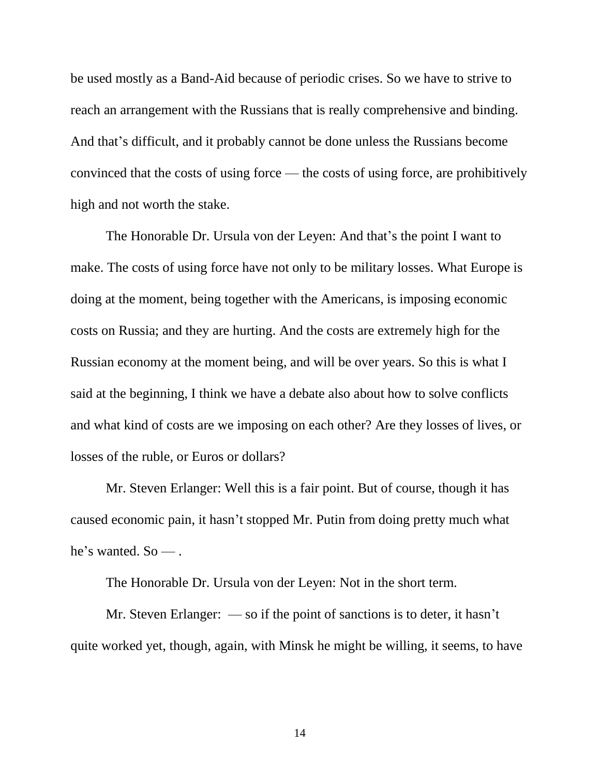be used mostly as a Band-Aid because of periodic crises. So we have to strive to reach an arrangement with the Russians that is really comprehensive and binding. And that's difficult, and it probably cannot be done unless the Russians become convinced that the costs of using force — the costs of using force, are prohibitively high and not worth the stake.

The Honorable Dr. Ursula von der Leyen: And that's the point I want to make. The costs of using force have not only to be military losses. What Europe is doing at the moment, being together with the Americans, is imposing economic costs on Russia; and they are hurting. And the costs are extremely high for the Russian economy at the moment being, and will be over years. So this is what I said at the beginning, I think we have a debate also about how to solve conflicts and what kind of costs are we imposing on each other? Are they losses of lives, or losses of the ruble, or Euros or dollars?

Mr. Steven Erlanger: Well this is a fair point. But of course, though it has caused economic pain, it hasn't stopped Mr. Putin from doing pretty much what he's wanted. So — .

The Honorable Dr. Ursula von der Leyen: Not in the short term.

Mr. Steven Erlanger: — so if the point of sanctions is to deter, it hasn't quite worked yet, though, again, with Minsk he might be willing, it seems, to have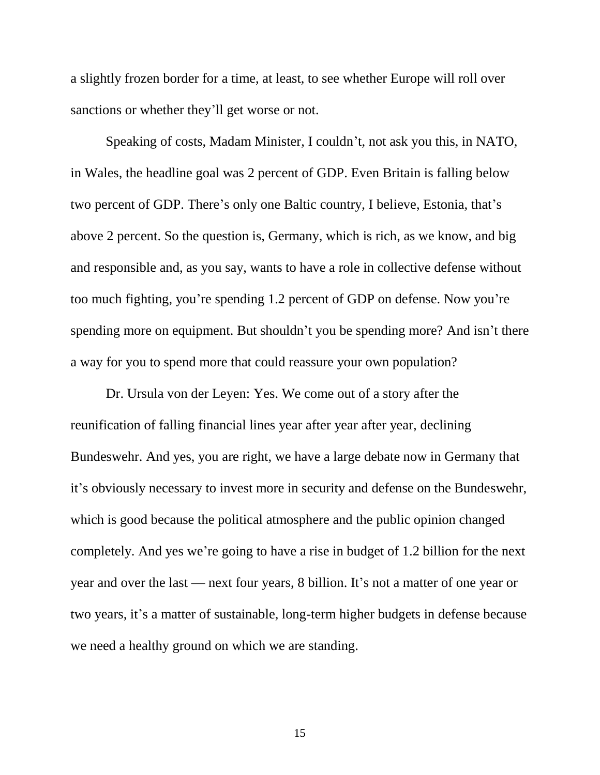a slightly frozen border for a time, at least, to see whether Europe will roll over sanctions or whether they'll get worse or not.

Speaking of costs, Madam Minister, I couldn't, not ask you this, in NATO, in Wales, the headline goal was 2 percent of GDP. Even Britain is falling below two percent of GDP. There's only one Baltic country, I believe, Estonia, that's above 2 percent. So the question is, Germany, which is rich, as we know, and big and responsible and, as you say, wants to have a role in collective defense without too much fighting, you're spending 1.2 percent of GDP on defense. Now you're spending more on equipment. But shouldn't you be spending more? And isn't there a way for you to spend more that could reassure your own population?

Dr. Ursula von der Leyen: Yes. We come out of a story after the reunification of falling financial lines year after year after year, declining Bundeswehr. And yes, you are right, we have a large debate now in Germany that it's obviously necessary to invest more in security and defense on the Bundeswehr, which is good because the political atmosphere and the public opinion changed completely. And yes we're going to have a rise in budget of 1.2 billion for the next year and over the last — next four years, 8 billion. It's not a matter of one year or two years, it's a matter of sustainable, long-term higher budgets in defense because we need a healthy ground on which we are standing.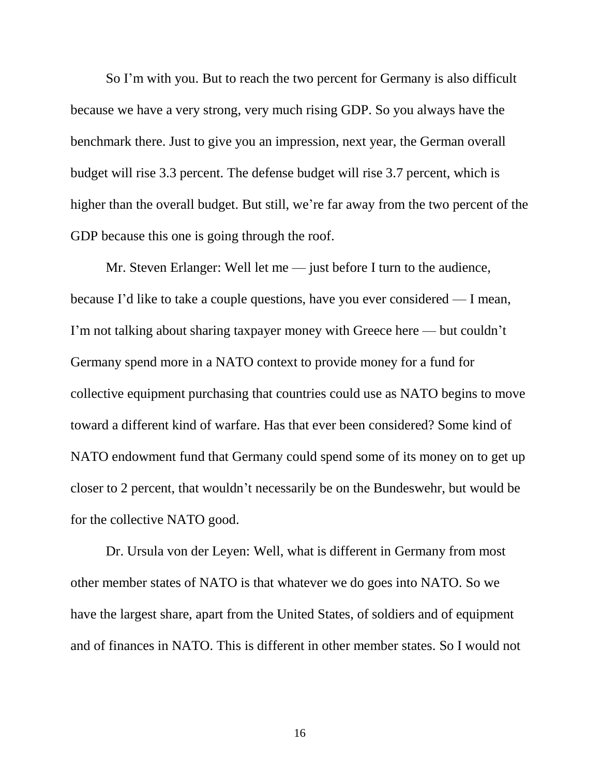So I'm with you. But to reach the two percent for Germany is also difficult because we have a very strong, very much rising GDP. So you always have the benchmark there. Just to give you an impression, next year, the German overall budget will rise 3.3 percent. The defense budget will rise 3.7 percent, which is higher than the overall budget. But still, we're far away from the two percent of the GDP because this one is going through the roof.

Mr. Steven Erlanger: Well let me — just before I turn to the audience, because I'd like to take a couple questions, have you ever considered — I mean, I'm not talking about sharing taxpayer money with Greece here — but couldn't Germany spend more in a NATO context to provide money for a fund for collective equipment purchasing that countries could use as NATO begins to move toward a different kind of warfare. Has that ever been considered? Some kind of NATO endowment fund that Germany could spend some of its money on to get up closer to 2 percent, that wouldn't necessarily be on the Bundeswehr, but would be for the collective NATO good.

Dr. Ursula von der Leyen: Well, what is different in Germany from most other member states of NATO is that whatever we do goes into NATO. So we have the largest share, apart from the United States, of soldiers and of equipment and of finances in NATO. This is different in other member states. So I would not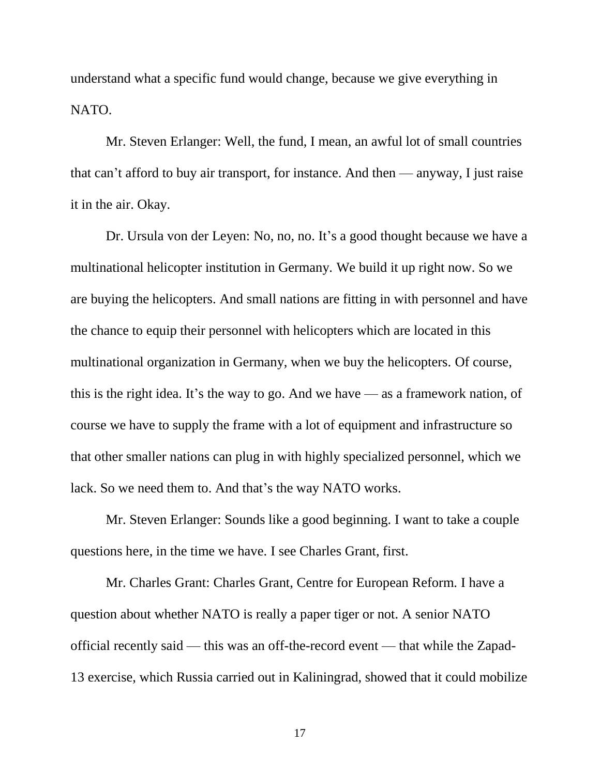understand what a specific fund would change, because we give everything in NATO.

Mr. Steven Erlanger: Well, the fund, I mean, an awful lot of small countries that can't afford to buy air transport, for instance. And then — anyway, I just raise it in the air. Okay.

Dr. Ursula von der Leyen: No, no, no. It's a good thought because we have a multinational helicopter institution in Germany. We build it up right now. So we are buying the helicopters. And small nations are fitting in with personnel and have the chance to equip their personnel with helicopters which are located in this multinational organization in Germany, when we buy the helicopters. Of course, this is the right idea. It's the way to go. And we have — as a framework nation, of course we have to supply the frame with a lot of equipment and infrastructure so that other smaller nations can plug in with highly specialized personnel, which we lack. So we need them to. And that's the way NATO works.

Mr. Steven Erlanger: Sounds like a good beginning. I want to take a couple questions here, in the time we have. I see Charles Grant, first.

Mr. Charles Grant: Charles Grant, Centre for European Reform. I have a question about whether NATO is really a paper tiger or not. A senior NATO official recently said — this was an off-the-record event — that while the Zapad-13 exercise, which Russia carried out in Kaliningrad, showed that it could mobilize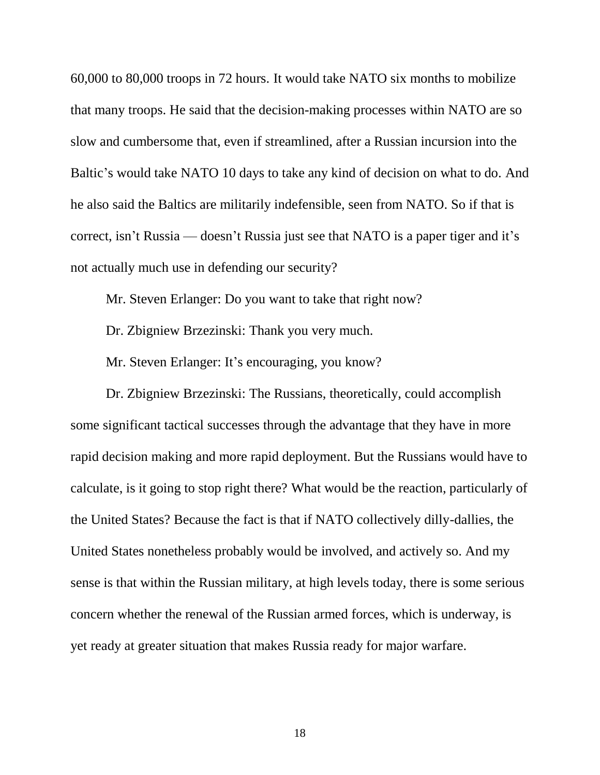60,000 to 80,000 troops in 72 hours. It would take NATO six months to mobilize that many troops. He said that the decision-making processes within NATO are so slow and cumbersome that, even if streamlined, after a Russian incursion into the Baltic's would take NATO 10 days to take any kind of decision on what to do. And he also said the Baltics are militarily indefensible, seen from NATO. So if that is correct, isn't Russia — doesn't Russia just see that NATO is a paper tiger and it's not actually much use in defending our security?

Mr. Steven Erlanger: Do you want to take that right now?

Dr. Zbigniew Brzezinski: Thank you very much.

Mr. Steven Erlanger: It's encouraging, you know?

Dr. Zbigniew Brzezinski: The Russians, theoretically, could accomplish some significant tactical successes through the advantage that they have in more rapid decision making and more rapid deployment. But the Russians would have to calculate, is it going to stop right there? What would be the reaction, particularly of the United States? Because the fact is that if NATO collectively dilly-dallies, the United States nonetheless probably would be involved, and actively so. And my sense is that within the Russian military, at high levels today, there is some serious concern whether the renewal of the Russian armed forces, which is underway, is yet ready at greater situation that makes Russia ready for major warfare.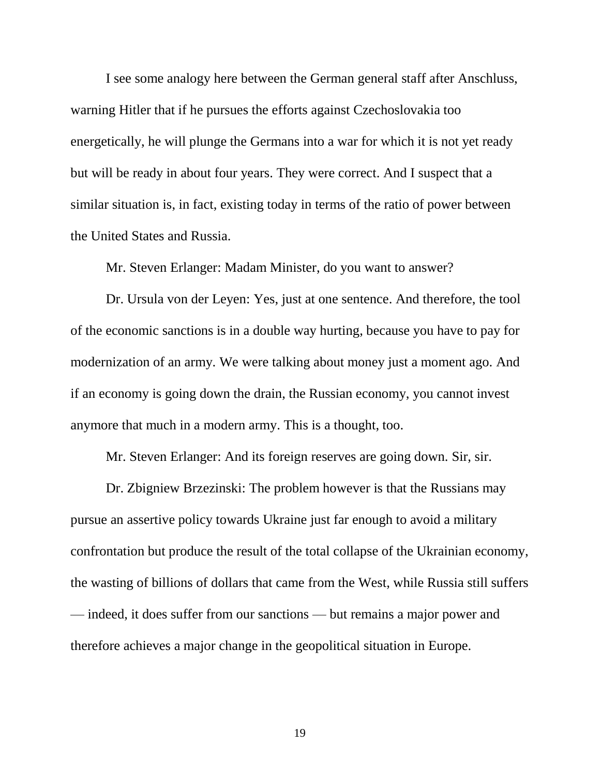I see some analogy here between the German general staff after Anschluss, warning Hitler that if he pursues the efforts against Czechoslovakia too energetically, he will plunge the Germans into a war for which it is not yet ready but will be ready in about four years. They were correct. And I suspect that a similar situation is, in fact, existing today in terms of the ratio of power between the United States and Russia.

Mr. Steven Erlanger: Madam Minister, do you want to answer?

Dr. Ursula von der Leyen: Yes, just at one sentence. And therefore, the tool of the economic sanctions is in a double way hurting, because you have to pay for modernization of an army. We were talking about money just a moment ago. And if an economy is going down the drain, the Russian economy, you cannot invest anymore that much in a modern army. This is a thought, too.

Mr. Steven Erlanger: And its foreign reserves are going down. Sir, sir.

Dr. Zbigniew Brzezinski: The problem however is that the Russians may pursue an assertive policy towards Ukraine just far enough to avoid a military confrontation but produce the result of the total collapse of the Ukrainian economy, the wasting of billions of dollars that came from the West, while Russia still suffers — indeed, it does suffer from our sanctions — but remains a major power and therefore achieves a major change in the geopolitical situation in Europe.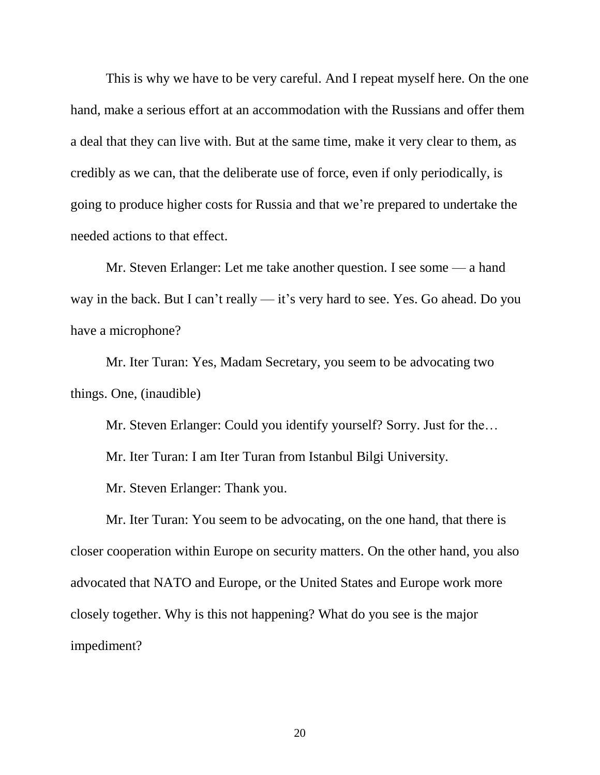This is why we have to be very careful. And I repeat myself here. On the one hand, make a serious effort at an accommodation with the Russians and offer them a deal that they can live with. But at the same time, make it very clear to them, as credibly as we can, that the deliberate use of force, even if only periodically, is going to produce higher costs for Russia and that we're prepared to undertake the needed actions to that effect.

Mr. Steven Erlanger: Let me take another question. I see some — a hand way in the back. But I can't really — it's very hard to see. Yes. Go ahead. Do you have a microphone?

Mr. Iter Turan: Yes, Madam Secretary, you seem to be advocating two things. One, (inaudible)

Mr. Steven Erlanger: Could you identify yourself? Sorry. Just for the…

Mr. Iter Turan: I am Iter Turan from Istanbul Bilgi University.

Mr. Steven Erlanger: Thank you.

Mr. Iter Turan: You seem to be advocating, on the one hand, that there is closer cooperation within Europe on security matters. On the other hand, you also advocated that NATO and Europe, or the United States and Europe work more closely together. Why is this not happening? What do you see is the major impediment?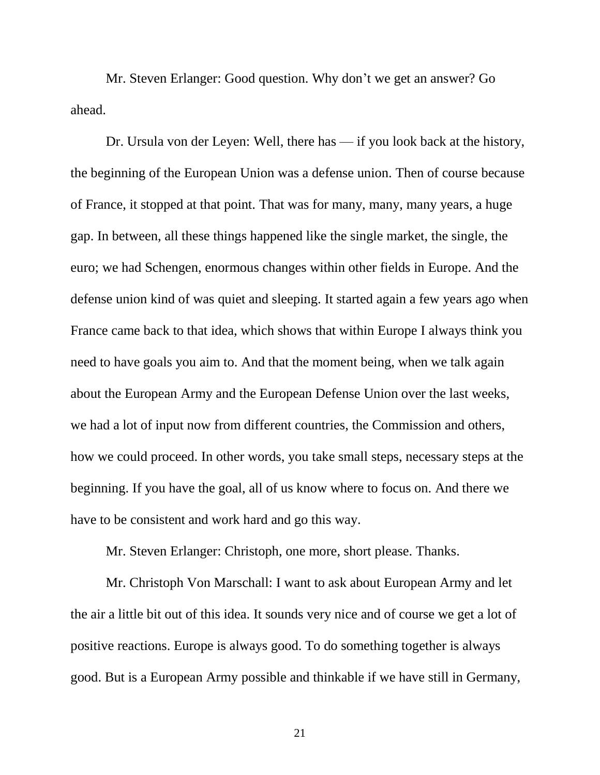Mr. Steven Erlanger: Good question. Why don't we get an answer? Go ahead.

Dr. Ursula von der Leyen: Well, there has — if you look back at the history, the beginning of the European Union was a defense union. Then of course because of France, it stopped at that point. That was for many, many, many years, a huge gap. In between, all these things happened like the single market, the single, the euro; we had Schengen, enormous changes within other fields in Europe. And the defense union kind of was quiet and sleeping. It started again a few years ago when France came back to that idea, which shows that within Europe I always think you need to have goals you aim to. And that the moment being, when we talk again about the European Army and the European Defense Union over the last weeks, we had a lot of input now from different countries, the Commission and others, how we could proceed. In other words, you take small steps, necessary steps at the beginning. If you have the goal, all of us know where to focus on. And there we have to be consistent and work hard and go this way.

Mr. Steven Erlanger: Christoph, one more, short please. Thanks.

Mr. Christoph Von Marschall: I want to ask about European Army and let the air a little bit out of this idea. It sounds very nice and of course we get a lot of positive reactions. Europe is always good. To do something together is always good. But is a European Army possible and thinkable if we have still in Germany,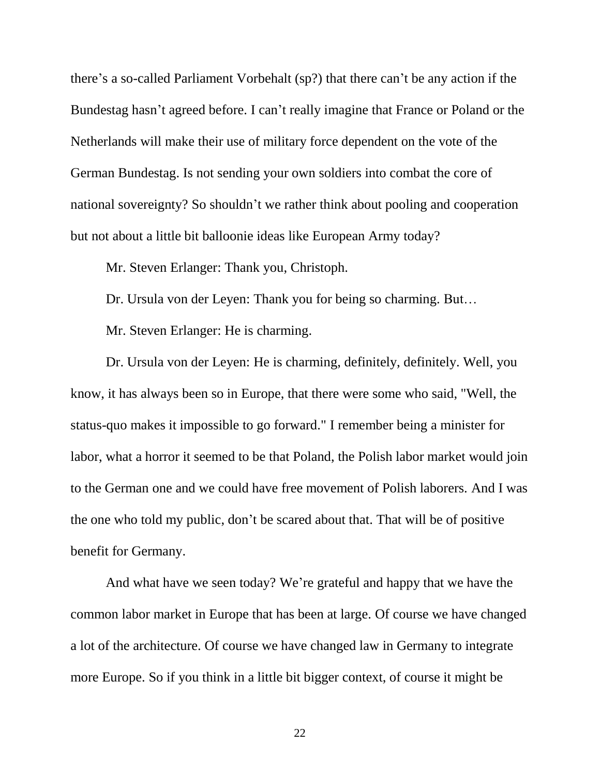there's a so-called Parliament Vorbehalt (sp?) that there can't be any action if the Bundestag hasn't agreed before. I can't really imagine that France or Poland or the Netherlands will make their use of military force dependent on the vote of the German Bundestag. Is not sending your own soldiers into combat the core of national sovereignty? So shouldn't we rather think about pooling and cooperation but not about a little bit balloonie ideas like European Army today?

Mr. Steven Erlanger: Thank you, Christoph.

Dr. Ursula von der Leyen: Thank you for being so charming. But…

Mr. Steven Erlanger: He is charming.

Dr. Ursula von der Leyen: He is charming, definitely, definitely. Well, you know, it has always been so in Europe, that there were some who said, "Well, the status-quo makes it impossible to go forward." I remember being a minister for labor, what a horror it seemed to be that Poland, the Polish labor market would join to the German one and we could have free movement of Polish laborers. And I was the one who told my public, don't be scared about that. That will be of positive benefit for Germany.

And what have we seen today? We're grateful and happy that we have the common labor market in Europe that has been at large. Of course we have changed a lot of the architecture. Of course we have changed law in Germany to integrate more Europe. So if you think in a little bit bigger context, of course it might be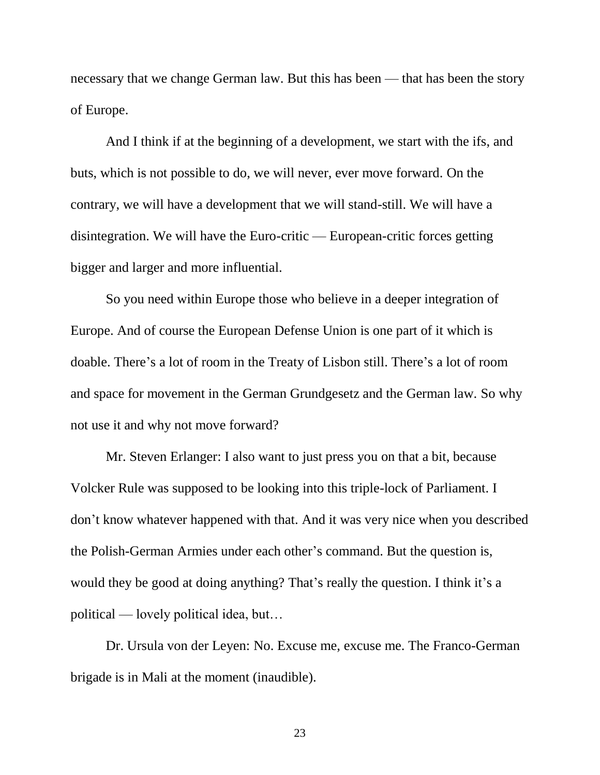necessary that we change German law. But this has been — that has been the story of Europe.

And I think if at the beginning of a development, we start with the ifs, and buts, which is not possible to do, we will never, ever move forward. On the contrary, we will have a development that we will stand-still. We will have a disintegration. We will have the Euro-critic — European-critic forces getting bigger and larger and more influential.

So you need within Europe those who believe in a deeper integration of Europe. And of course the European Defense Union is one part of it which is doable. There's a lot of room in the Treaty of Lisbon still. There's a lot of room and space for movement in the German Grundgesetz and the German law. So why not use it and why not move forward?

Mr. Steven Erlanger: I also want to just press you on that a bit, because Volcker Rule was supposed to be looking into this triple-lock of Parliament. I don't know whatever happened with that. And it was very nice when you described the Polish-German Armies under each other's command. But the question is, would they be good at doing anything? That's really the question. I think it's a political — lovely political idea, but…

Dr. Ursula von der Leyen: No. Excuse me, excuse me. The Franco-German brigade is in Mali at the moment (inaudible).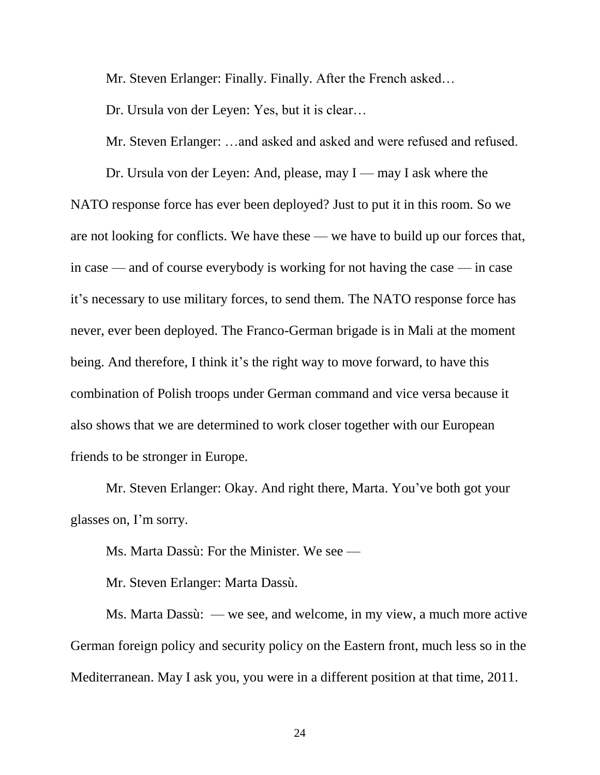Mr. Steven Erlanger: Finally. Finally. After the French asked…

Dr. Ursula von der Leyen: Yes, but it is clear…

Mr. Steven Erlanger: …and asked and asked and were refused and refused.

Dr. Ursula von der Leyen: And, please, may I — may I ask where the NATO response force has ever been deployed? Just to put it in this room. So we are not looking for conflicts. We have these — we have to build up our forces that, in case — and of course everybody is working for not having the case — in case it's necessary to use military forces, to send them. The NATO response force has never, ever been deployed. The Franco-German brigade is in Mali at the moment being. And therefore, I think it's the right way to move forward, to have this combination of Polish troops under German command and vice versa because it also shows that we are determined to work closer together with our European friends to be stronger in Europe.

Mr. Steven Erlanger: Okay. And right there, Marta. You've both got your glasses on, I'm sorry.

Ms. Marta Dassù: For the Minister. We see —

Mr. Steven Erlanger: Marta Dassù.

Ms. Marta Dassù: — we see, and welcome, in my view, a much more active German foreign policy and security policy on the Eastern front, much less so in the Mediterranean. May I ask you, you were in a different position at that time, 2011.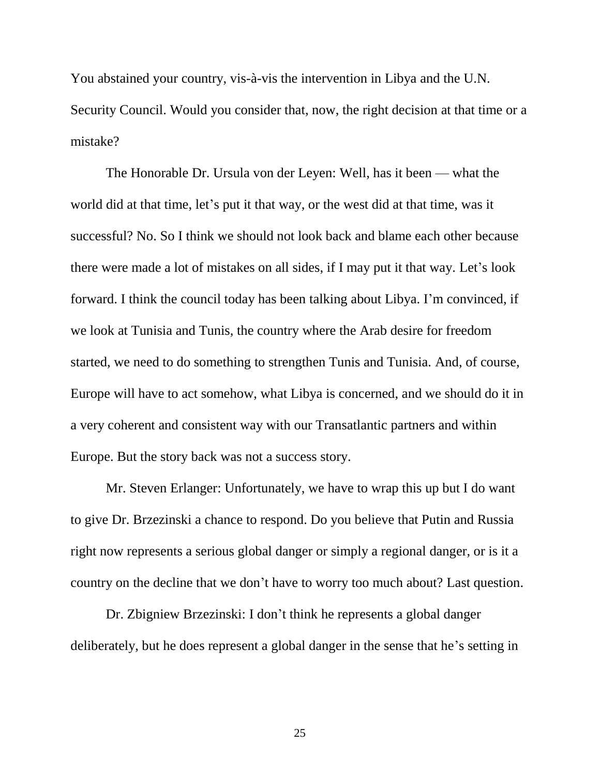You abstained your country, vis-à-vis the intervention in Libya and the U.N. Security Council. Would you consider that, now, the right decision at that time or a mistake?

The Honorable Dr. Ursula von der Leyen: Well, has it been — what the world did at that time, let's put it that way, or the west did at that time, was it successful? No. So I think we should not look back and blame each other because there were made a lot of mistakes on all sides, if I may put it that way. Let's look forward. I think the council today has been talking about Libya. I'm convinced, if we look at Tunisia and Tunis, the country where the Arab desire for freedom started, we need to do something to strengthen Tunis and Tunisia. And, of course, Europe will have to act somehow, what Libya is concerned, and we should do it in a very coherent and consistent way with our Transatlantic partners and within Europe. But the story back was not a success story.

Mr. Steven Erlanger: Unfortunately, we have to wrap this up but I do want to give Dr. Brzezinski a chance to respond. Do you believe that Putin and Russia right now represents a serious global danger or simply a regional danger, or is it a country on the decline that we don't have to worry too much about? Last question.

Dr. Zbigniew Brzezinski: I don't think he represents a global danger deliberately, but he does represent a global danger in the sense that he's setting in